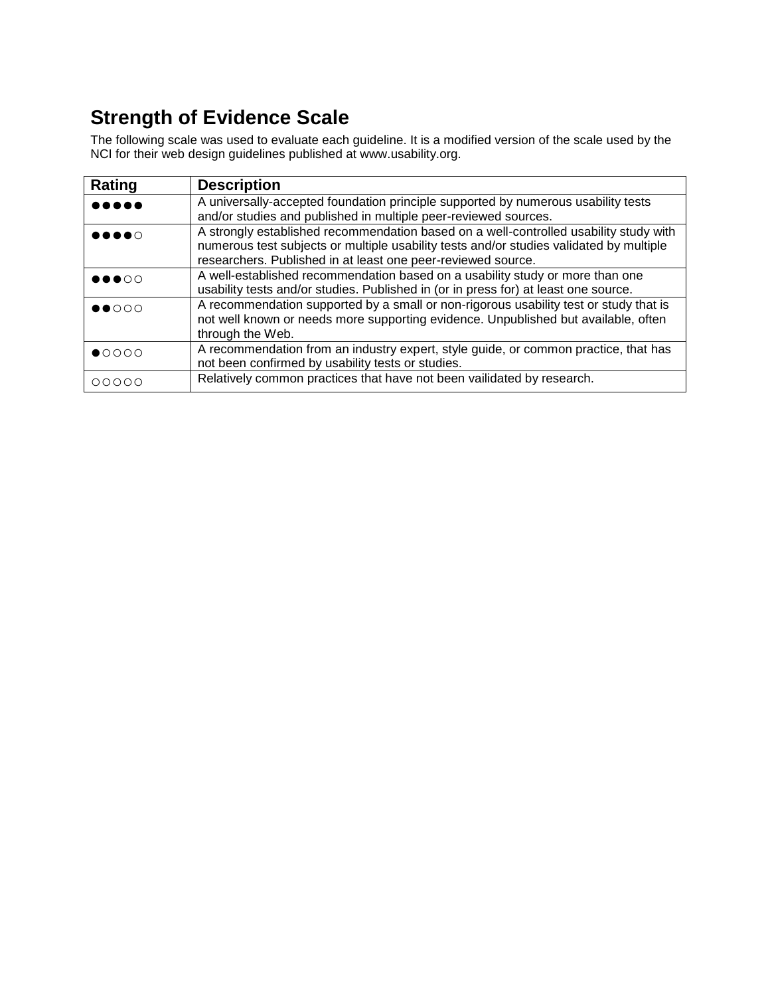## **Strength of Evidence Scale**

The following scale was used to evaluate each guideline. It is a modified version of the scale used by the NCI for their web design guidelines published at www.usability.org.

| Rating                                | <b>Description</b>                                                                      |
|---------------------------------------|-----------------------------------------------------------------------------------------|
| $\bullet\bullet\bullet\bullet\bullet$ | A universally-accepted foundation principle supported by numerous usability tests       |
|                                       | and/or studies and published in multiple peer-reviewed sources.                         |
| $\bullet\bullet\bullet\bullet\circ$   | A strongly established recommendation based on a well-controlled usability study with   |
|                                       | numerous test subjects or multiple usability tests and/or studies validated by multiple |
|                                       | researchers. Published in at least one peer-reviewed source.                            |
| $\bullet\bullet\bullet\circ\circ$     | A well-established recommendation based on a usability study or more than one           |
|                                       | usability tests and/or studies. Published in (or in press for) at least one source.     |
| $\bullet\bullet\circ\circ\circ$       | A recommendation supported by a small or non-rigorous usability test or study that is   |
|                                       | not well known or needs more supporting evidence. Unpublished but available, often      |
|                                       | through the Web.                                                                        |
| $\bullet$ 0000                        | A recommendation from an industry expert, style guide, or common practice, that has     |
|                                       | not been confirmed by usability tests or studies.                                       |
| 00000                                 | Relatively common practices that have not been vailidated by research.                  |
|                                       |                                                                                         |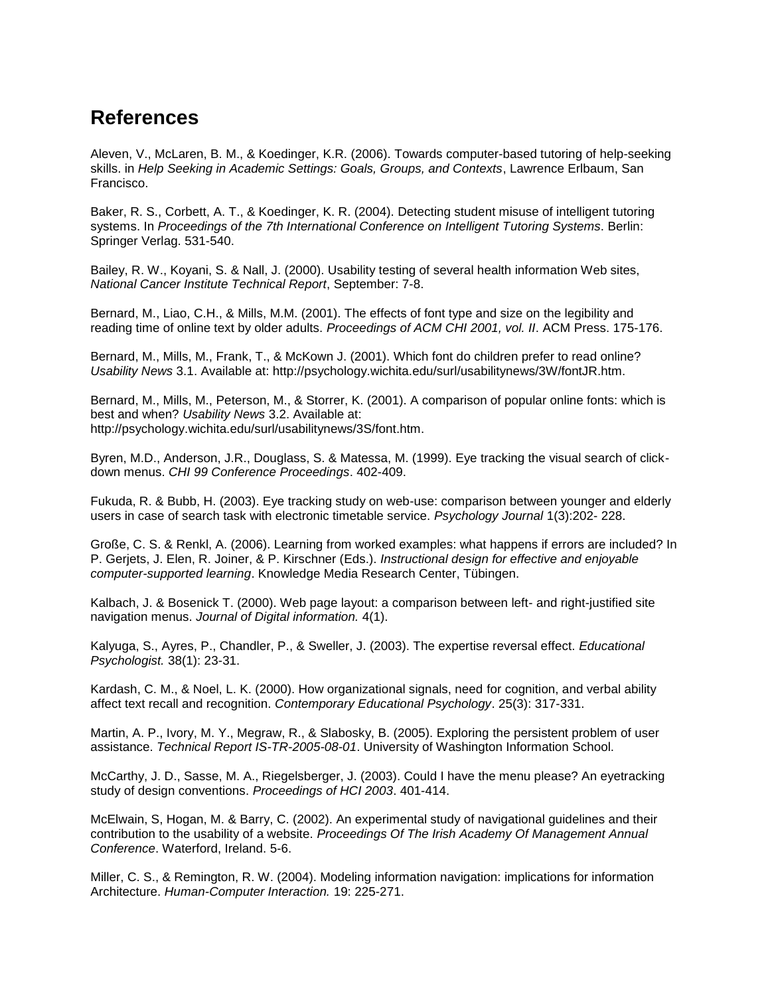## **References**

Aleven, V., McLaren, B. M., & Koedinger, K.R. (2006). Towards computer-based tutoring of help-seeking skills. in *Help Seeking in Academic Settings: Goals, Groups, and Contexts*, Lawrence Erlbaum, San Francisco.

Baker, R. S., Corbett, A. T., & Koedinger, K. R. (2004). Detecting student misuse of intelligent tutoring systems. In *Proceedings of the 7th International Conference on Intelligent Tutoring Systems*. Berlin: Springer Verlag. 531-540.

Bailey, R. W., Koyani, S. & Nall, J. (2000). Usability testing of several health information Web sites, *National Cancer Institute Technical Report*, September: 7-8.

Bernard, M., Liao, C.H., & Mills, M.M. (2001). The effects of font type and size on the legibility and reading time of online text by older adults. *Proceedings of ACM CHI 2001, vol. II*. ACM Press. 175-176.

Bernard, M., Mills, M., Frank, T., & McKown J. (2001). Which font do children prefer to read online? *Usability News* 3.1. Available at: http://psychology.wichita.edu/surl/usabilitynews/3W/fontJR.htm.

Bernard, M., Mills, M., Peterson, M., & Storrer, K. (2001). A comparison of popular online fonts: which is best and when? *Usability News* 3.2. Available at: http://psychology.wichita.edu/surl/usabilitynews/3S/font.htm.

Byren, M.D., Anderson, J.R., Douglass, S. & Matessa, M. (1999). Eye tracking the visual search of clickdown menus. *CHI 99 Conference Proceedings*. 402-409.

Fukuda, R. & Bubb, H. (2003). Eye tracking study on web-use: comparison between younger and elderly users in case of search task with electronic timetable service. *Psychology Journal* 1(3):202- 228.

Große, C. S. & Renkl, A. (2006). Learning from worked examples: what happens if errors are included? In P. Gerjets, J. Elen, R. Joiner, & P. Kirschner (Eds.). *Instructional design for effective and enjoyable computer-supported learning*. Knowledge Media Research Center, Tübingen.

Kalbach, J. & Bosenick T. (2000). Web page layout: a comparison between left- and right-justified site navigation menus. *Journal of Digital information.* 4(1).

Kalyuga, S., Ayres, P., Chandler, P., & Sweller, J. (2003). The expertise reversal effect. *Educational Psychologist.* 38(1): 23-31.

Kardash, C. M., & Noel, L. K. (2000). How organizational signals, need for cognition, and verbal ability affect text recall and recognition. *Contemporary Educational Psychology*. 25(3): 317-331.

Martin, A. P., Ivory, M. Y., Megraw, R., & Slabosky, B. (2005). Exploring the persistent problem of user assistance. *Technical Report IS-TR-2005-08-01*. University of Washington Information School.

McCarthy, J. D., Sasse, M. A., Riegelsberger, J. (2003). Could I have the menu please? An eyetracking study of design conventions. *Proceedings of HCI 2003*. 401-414.

McElwain, S, Hogan, M. & Barry, C. (2002). An experimental study of navigational guidelines and their contribution to the usability of a website. *Proceedings Of The Irish Academy Of Management Annual Conference*. Waterford, Ireland. 5-6.

Miller, C. S., & Remington, R. W. (2004). Modeling information navigation: implications for information Architecture. *Human-Computer Interaction.* 19: 225-271.